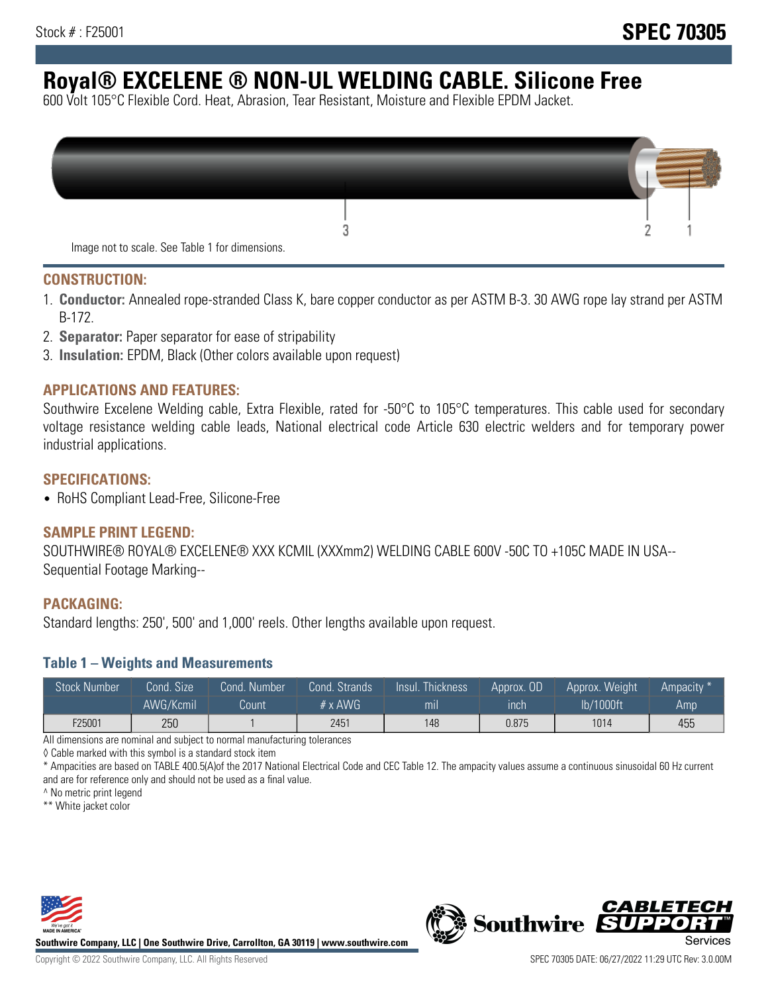# **Royal® EXCELENE ® NON-UL WELDING CABLE. Silicone Free**

600 Volt 105°C Flexible Cord. Heat, Abrasion, Tear Resistant, Moisture and Flexible EPDM Jacket.

| Image not to scale. See Table 1 for dimensions. |  |
|-------------------------------------------------|--|

#### **CONSTRUCTION:**

- 1. **Conductor:** Annealed rope-stranded Class K, bare copper conductor as per ASTM B-3. 30 AWG rope lay strand per ASTM B-172.
- 2. **Separator:** Paper separator for ease of stripability
- 3. **Insulation:** EPDM, Black (Other colors available upon request)

#### **APPLICATIONS AND FEATURES:**

Southwire Excelene Welding cable, Extra Flexible, rated for -50°C to 105°C temperatures. This cable used for secondary voltage resistance welding cable leads, National electrical code Article 630 electric welders and for temporary power industrial applications.

#### **SPECIFICATIONS:**

• RoHS Compliant Lead-Free, Silicone-Free

#### **SAMPLE PRINT LEGEND:**

SOUTHWIRE® ROYAL® EXCELENE® XXX KCMIL (XXXmm2) WELDING CABLE 600V -50C TO +105C MADE IN USA-- Sequential Footage Marking--

#### **PACKAGING:**

Standard lengths: 250', 500' and 1,000' reels. Other lengths available upon request.

#### **Table 1 – Weights and Measurements**

| <b>Stock Number</b> | Cond. Size' | Cond. Number | Cond. Strands  | Insul. Thickness | Approx. OD | Approx. Weight | Ampacity <sup>*</sup> |
|---------------------|-------------|--------------|----------------|------------------|------------|----------------|-----------------------|
|                     | AWG/Kcmil   | Count        | $# \times$ AWG | mı               | inch       | lb/1000ft      | Amp                   |
| F25001              | 250         |              | 2451           | 148              | 0.875      | 1014           | 455                   |

All dimensions are nominal and subject to normal manufacturing tolerances

◊ Cable marked with this symbol is a standard stock item

\* Ampacities are based on TABLE 400.5(A)of the 2017 National Electrical Code and CEC Table 12. The ampacity values assume a continuous sinusoidal 60 Hz current and are for reference only and should not be used as a final value.

^ No metric print legend

\*\* White jacket color



**Southwire Company, LLC | One Southwire Drive, Carrollton, GA 30119 | www.southwire.com**



*CABLETE*